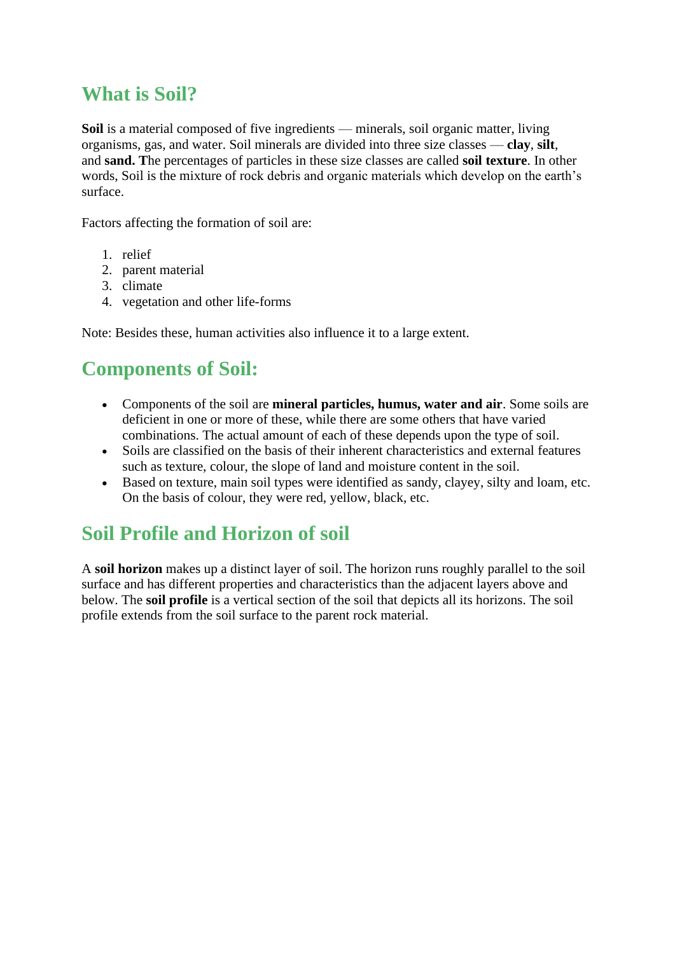## **What is Soil?**

**Soil** is a material composed of five ingredients — minerals, soil organic matter, living organisms, gas, and water. Soil minerals are divided into three size classes — **clay**, **silt**, and **sand. T**he percentages of particles in these size classes are called **soil texture**. In other words, Soil is the mixture of rock debris and organic materials which develop on the earth's surface.

Factors affecting the formation of soil are:

- 1. relief
- 2. parent material
- 3. climate
- 4. vegetation and other life-forms

Note: Besides these, human activities also influence it to a large extent.

# **Components of Soil:**

- Components of the soil are **mineral particles, humus, water and air**. Some soils are deficient in one or more of these, while there are some others that have varied combinations. The actual amount of each of these depends upon the type of soil.
- Soils are classified on the basis of their inherent characteristics and external features such as texture, colour, the slope of land and moisture content in the soil.
- Based on texture, main soil types were identified as sandy, clayey, silty and loam, etc. On the basis of colour, they were red, yellow, black, etc.

# **Soil Profile and Horizon of soil**

A **soil horizon** makes up a distinct layer of soil. The horizon runs roughly parallel to the soil surface and has different properties and characteristics than the adjacent layers above and below. The **soil profile** is a vertical section of the soil that depicts all its horizons. The soil profile extends from the soil surface to the parent rock material.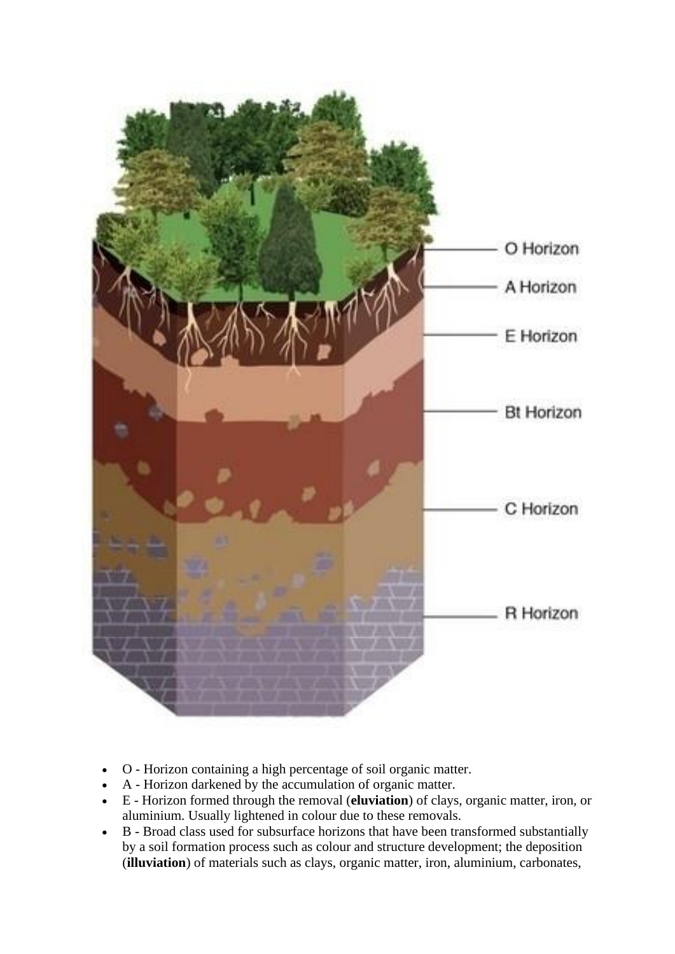

- O Horizon containing a high percentage of soil organic matter.
- A Horizon darkened by the accumulation of organic matter.
- E Horizon formed through the removal (**eluviation**) of clays, organic matter, iron, or aluminium. Usually lightened in colour due to these removals.
- B Broad class used for subsurface horizons that have been transformed substantially by a soil formation process such as colour and structure development; the deposition (**illuviation**) of materials such as clays, organic matter, iron, aluminium, carbonates,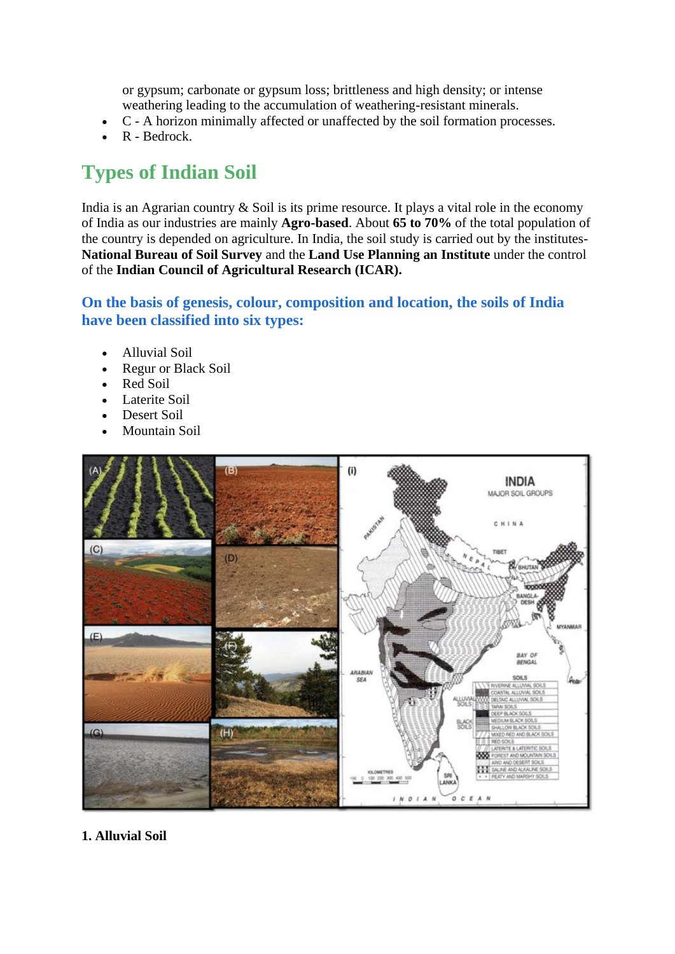or gypsum; carbonate or gypsum loss; brittleness and high density; or intense weathering leading to the accumulation of weathering-resistant minerals.

- C A horizon minimally affected or unaffected by the soil formation processes.
- R Bedrock.

# **Types of Indian Soil**

India is an Agrarian country  $&$  Soil is its prime resource. It plays a vital role in the economy of India as our industries are mainly **Agro-based**. About **65 to 70%** of the total population of the country is depended on agriculture. In India, the soil study is carried out by the institutes-**National Bureau of Soil Survey** and the **Land Use Planning an Institute** under the control of the **Indian Council of Agricultural Research (ICAR).**

## **On the basis of genesis, colour, composition and location, the soils of India have been classified into six types:**

- Alluvial Soil
- Regur or Black Soil
- Red Soil
- Laterite Soil
- Desert Soil
- Mountain Soil



**1. Alluvial Soil**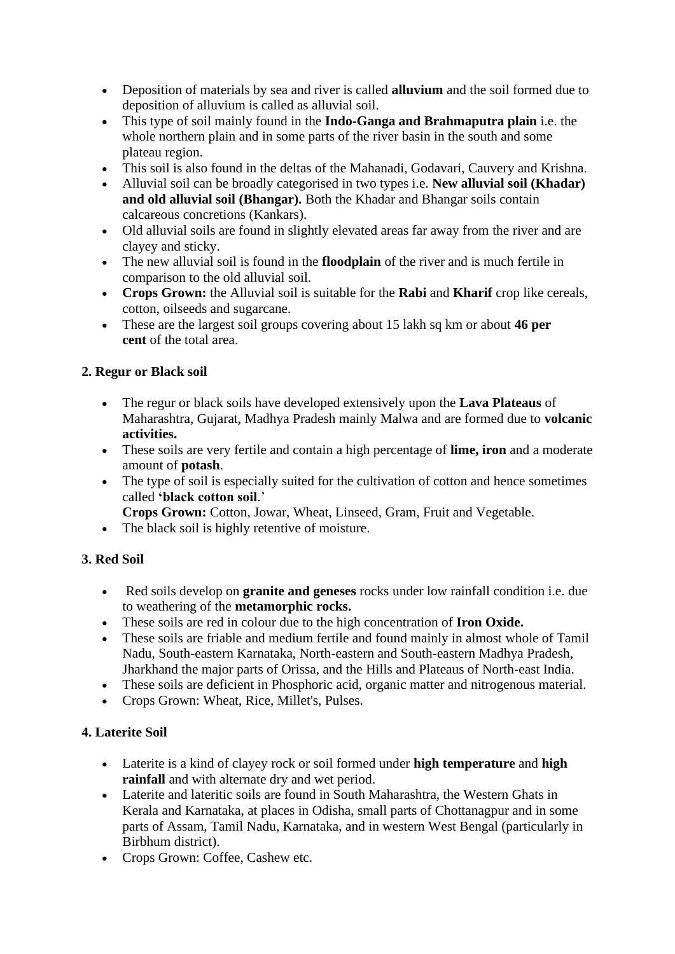- Deposition of materials by sea and river is called **alluvium** and the soil formed due to deposition of alluvium is called as alluvial soil.
- This type of soil mainly found in the **Indo-Ganga and Brahmaputra plain** i.e. the whole northern plain and in some parts of the river basin in the south and some plateau region.
- This soil is also found in the deltas of the Mahanadi, Godavari, Cauvery and Krishna.
- Alluvial soil can be broadly categorised in two types i.e. **New alluvial soil (Khadar) and old alluvial soil (Bhangar).** Both the Khadar and Bhangar soils contain calcareous concretions (Kankars).
- Old alluvial soils are found in slightly elevated areas far away from the river and are clayey and sticky.
- The new alluvial soil is found in the **floodplain** of the river and is much fertile in comparison to the old alluvial soil.
- **Crops Grown:** the Alluvial soil is suitable for the **Rabi** and **Kharif** crop like cereals, cotton, oilseeds and sugarcane.
- These are the largest soil groups covering about 15 lakh sq km or about **46 per cent** of the total area.

### **2. Regur or Black soil**

- The regur or black soils have developed extensively upon the **Lava Plateaus** of Maharashtra, Gujarat, Madhya Pradesh mainly Malwa and are formed due to **volcanic activities.**
- These soils are very fertile and contain a high percentage of **lime, iron** and a moderate amount of **potash**.
- The type of soil is especially suited for the cultivation of cotton and hence sometimes called **'black cotton soil**.'
	- **Crops Grown:** Cotton, Jowar, Wheat, Linseed, Gram, Fruit and Vegetable.
- The black soil is highly retentive of moisture.

#### **3. Red Soil**

- Red soils develop on **granite and geneses** rocks under low rainfall condition i.e. due to weathering of the **metamorphic rocks.**
- These soils are red in colour due to the high concentration of **Iron Oxide.**
- These soils are friable and medium fertile and found mainly in almost whole of Tamil Nadu, South-eastern Karnataka, North-eastern and South-eastern Madhya Pradesh, Jharkhand the major parts of Orissa, and the Hills and Plateaus of North-east India.
- These soils are deficient in Phosphoric acid, organic matter and nitrogenous material.
- Crops Grown: Wheat, Rice, Millet's, Pulses.

## **4. Laterite Soil**

- Laterite is a kind of clayey rock or soil formed under **high temperature** and **high rainfall** and with alternate dry and wet period.
- Laterite and lateritic soils are found in South Maharashtra, the Western Ghats in Kerala and Karnataka, at places in Odisha, small parts of Chottanagpur and in some parts of Assam, Tamil Nadu, Karnataka, and in western West Bengal (particularly in Birbhum district).
- Crops Grown: Coffee, Cashew etc.